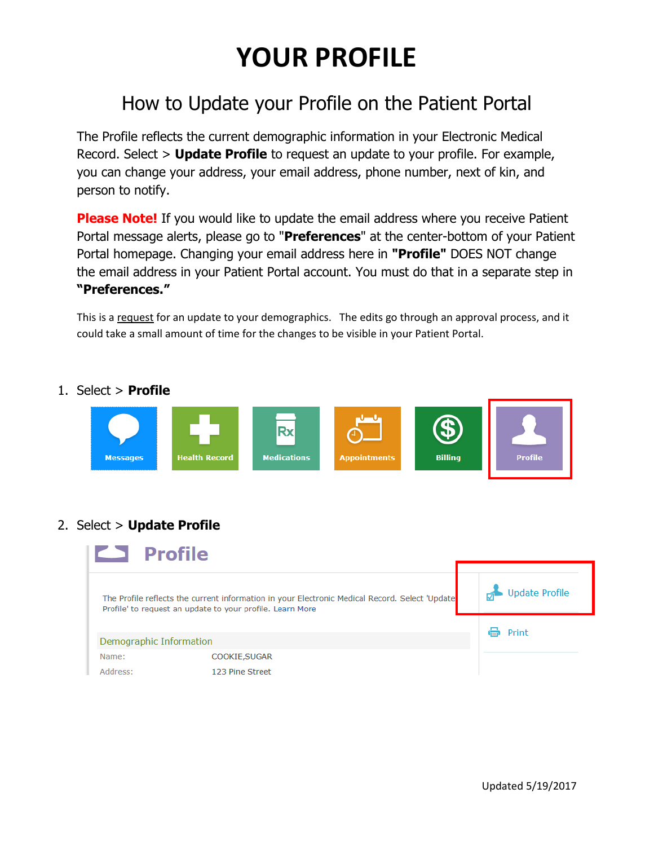## **YOUR PROFILE**

## How to Update your Profile on the Patient Portal

The Profile reflects the current demographic information in your Electronic Medical Record. Select > **Update Profile** to request an update to your profile. For example, you can change your address, your email address, phone number, next of kin, and person to notify.

**Please Note!** If you would like to update the email address where you receive Patient Portal message alerts, please go to "**Preferences**" at the center-bottom of your Patient Portal homepage. Changing your email address here in **"Profile"** DOES NOT change the email address in your Patient Portal account. You must do that in a separate step in **"Preferences."**

This is a request for an update to your demographics. The edits go through an approval process, and it could take a small amount of time for the changes to be visible in your Patient Portal.

## 1. Select > **Profile**



## 2. Select > **Update Profile**